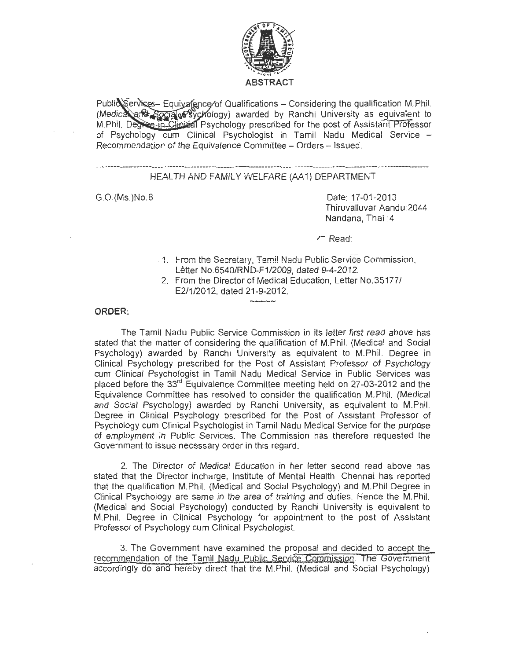

Public Services- Equivalence of Qualifications - Considering the qualification M. Phil. (Medica and Socia 08 ychology) awarded by Ranchi University as equivalent to M.Phil. Degree-in-Clinical Psychology prescribed for the post of Assistant Professor of Psychology cum Clinical Psychologist in Tamil Nadu Medical Service -Recommendation of the Equivalence Committee - Orders - Issued.

# HEALTH AND FAMILY WELFARE (AA1) DEPARTMENT

G.O.(Ms.)No.8

Date: 17-01-2013 Thiruvalluvar Aandu:2044 Nandana, Thai :4

 $\sqrt{ }$  Read:

- , 1. I-ram the Secretary, Tami! Nadu Public Service Commission, Letter No.6540/RND-F1/2009, dated 9-4-2012.
- 2. From the Director of Medical Education, Letter No.35177/ E2/1/2012, dated 21-9-2012.

#### **ORDER:**

The Tamil Nadu Public Service Commission in its letter first read above has stated that the matter of considering the qualification of M. Phil. (Medical and Social Psychology) awarded by Ranchi University as equivalent to M.Phil. Degree in Clinical Psychology prescribed for the Post of Assistant Professor of Psychology cum Clinical Psychologist in Tamil Nadu Medical Service in Public Services was placed before the 33<sup>rd</sup> Equivalence Committee meeting held on 27-03-2012 and the Equivalence Committee has resolved to consider the qualification M.Phil. (Medical and Social Psychology) awarded by Ranchi University, as equivalent to M.Phil. Degree in Clinical Psychology prescribed for the Post of Assistant Professor of Psychology cum Clinical Psychologist in Tamil Nadu Medical Service for the purpose of employment in Public Services. The Commission has therefore requested the Government to issue necessary order in this regard.

 $\sim$ 

2. The Director of Medical Education in her letter second read above has stated that the Director incharge, Institute of Mental Health, Chennai has reported that the qualification M.Phil. (Medical and Social Psychology) and M.Phil Degree in Clinical Psychology are same in the area of training and duties. Hence the M. Phil. (Medical and Social Psychology) conducted by Ranchi University is equivalent to M.Phil. Degree in Clinical Psychology for appointment to the post of Assistant Professor of Psychology cum Clinical Psychologist.

3. The Government have examined the proposal and decided to accept the\_ recommendation of the Tamil Nadu Public Service Commission. The Government accordingly do ana hereby direct that the M. Phil. (Medical and Social Psychology)